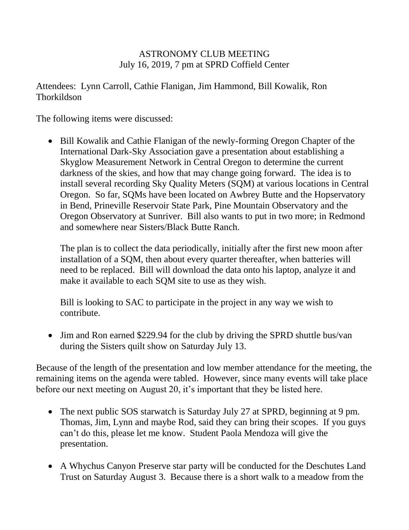## ASTRONOMY CLUB MEETING July 16, 2019, 7 pm at SPRD Coffield Center

Attendees: Lynn Carroll, Cathie Flanigan, Jim Hammond, Bill Kowalik, Ron **Thorkildson** 

The following items were discussed:

• Bill Kowalik and Cathie Flanigan of the newly-forming Oregon Chapter of the International Dark-Sky Association gave a presentation about establishing a Skyglow Measurement Network in Central Oregon to determine the current darkness of the skies, and how that may change going forward. The idea is to install several recording Sky Quality Meters (SQM) at various locations in Central Oregon. So far, SQMs have been located on Awbrey Butte and the Hopservatory in Bend, Prineville Reservoir State Park, Pine Mountain Observatory and the Oregon Observatory at Sunriver. Bill also wants to put in two more; in Redmond and somewhere near Sisters/Black Butte Ranch.

The plan is to collect the data periodically, initially after the first new moon after installation of a SQM, then about every quarter thereafter, when batteries will need to be replaced. Bill will download the data onto his laptop, analyze it and make it available to each SQM site to use as they wish.

Bill is looking to SAC to participate in the project in any way we wish to contribute.

• Jim and Ron earned \$229.94 for the club by driving the SPRD shuttle bus/van during the Sisters quilt show on Saturday July 13.

Because of the length of the presentation and low member attendance for the meeting, the remaining items on the agenda were tabled. However, since many events will take place before our next meeting on August 20, it's important that they be listed here.

- The next public SOS starwatch is Saturday July 27 at SPRD, beginning at 9 pm. Thomas, Jim, Lynn and maybe Rod, said they can bring their scopes. If you guys can't do this, please let me know. Student Paola Mendoza will give the presentation.
- A Whychus Canyon Preserve star party will be conducted for the Deschutes Land Trust on Saturday August 3. Because there is a short walk to a meadow from the